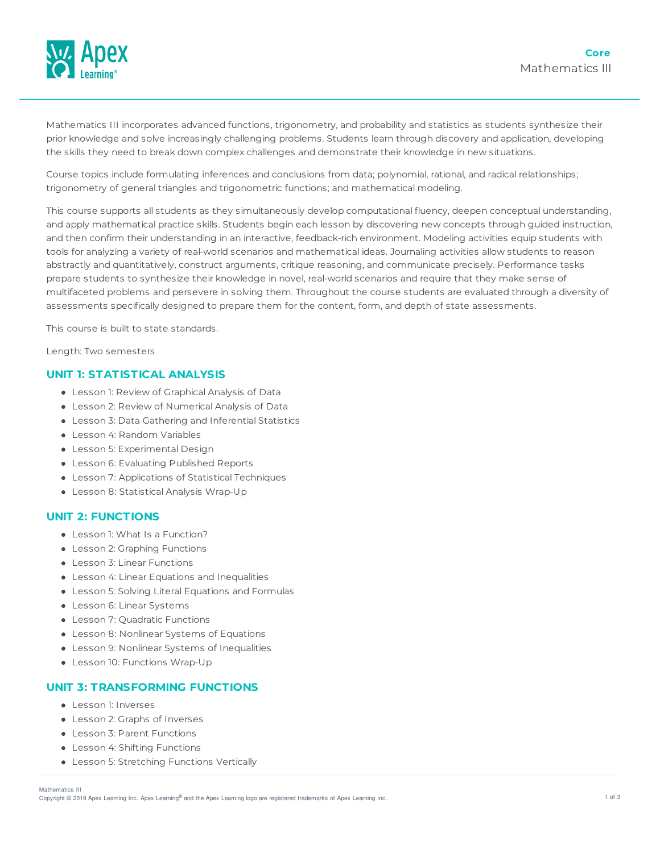

Mathematics III incorporates advanced functions, trigonometry, and probability and statistics as students synthesize their prior knowledge and solve increasingly challenging problems. Students learn through discovery and application, developing the skills they need to break down complex challenges and demonstrate their knowledge in new situations.

Course topics include formulating inferences and conclusions from data; polynomial, rational, and radical relationships; trigonometry of general triangles and trigonometric functions; and mathematical modeling.

This course supports all students as they simultaneously develop computational fluency, deepen conceptual understanding, and apply mathematical practice skills. Students begin each lesson by discovering new concepts through guided instruction, and then confirm their understanding in an interactive, feedback-rich environment. Modeling activities equip students with tools for analyzing a variety of real-world scenarios and mathematical ideas. Journaling activities allow students to reason abstractly and quantitatively, construct arguments, critique reasoning, and communicate precisely. Performance tasks prepare students to synthesize their knowledge in novel, real-world scenarios and require that they make sense of multifaceted problems and persevere in solving them. Throughout the course students are evaluated through a diversity of assessments specifically designed to prepare them for the content, form, and depth of state assessments.

This course is built to state standards.

Length: Two semesters

## **UNIT 1: STATISTICAL ANALYSIS**

- Lesson 1: Review of Graphical Analysis of Data
- Lesson 2: Review of Numerical Analysis of Data
- Lesson 3: Data Gathering and Inferential Statistics
- Lesson 4: Random Variables
- Lesson 5: Experimental Design
- Lesson 6: Evaluating Published Reports
- Lesson 7: Applications of Statistical Techniques
- Lesson 8: Statistical Analysis Wrap-Up

#### **UNIT 2: FUNCTIONS**

- Lesson 1: What Is a Function?
- Lesson 2: Graphing Functions
- Lesson 3: Linear Functions
- Lesson 4: Linear Equations and Inequalities
- Lesson 5: Solving Literal Equations and Formulas
- Lesson 6: Linear Systems
- **Lesson 7: Quadratic Functions**
- Lesson 8: Nonlinear Systems of Equations
- Lesson 9: Nonlinear Systems of Inequalities
- Lesson 10: Functions Wrap-Up

#### **UNIT 3: TRANSFORMING FUNCTIONS**

- Lesson 1: Inverses
- Lesson 2: Graphs of Inverses
- Lesson 3: Parent Functions
- Lesson 4: Shifting Functions
- Lesson 5: Stretching Functions Vertically

Mathematics III

Copyright © 2019 Apex Learning Inc. Apex Learning® and the Apex Learning logo are registered trademarks of Apex Learning Inc. <br>Copyright © 2019 Apex Learning Inc. Apex Learning® and the Apex Learning Iogo are registered tr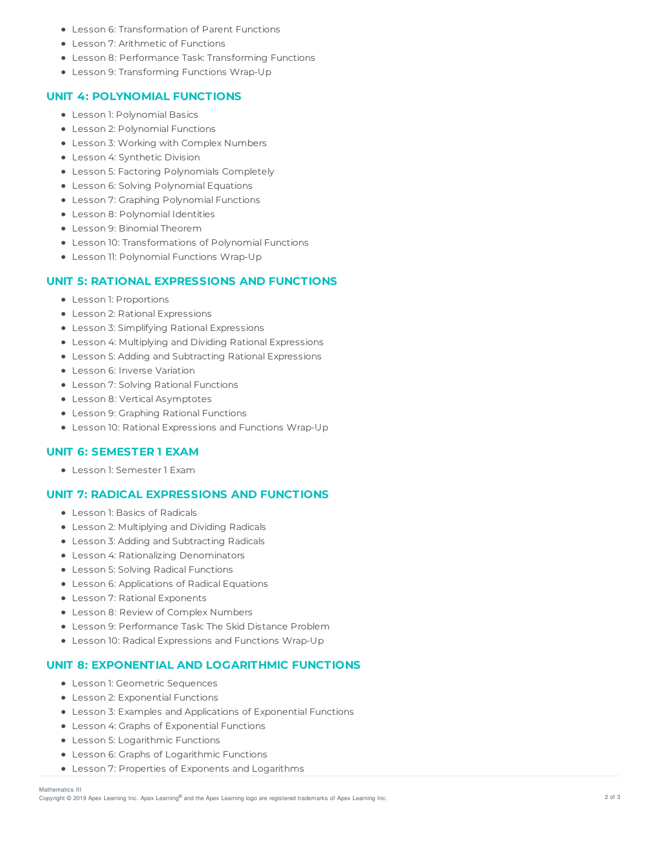- Lesson 6: Transformation of Parent Functions
- Lesson 7: Arithmetic of Functions
- Lesson 8: Performance Task: Transforming Functions
- Lesson 9: Transforming Functions Wrap-Up

## **UNIT 4: POLYNOMIAL FUNCTIONS**

- Lesson 1: Polynomial Basics
- Lesson 2: Polynomial Functions
- Lesson 3: Working with Complex Numbers
- Lesson 4: Synthetic Division
- Lesson 5: Factoring Polynomials Completely
- Lesson 6: Solving Polynomial Equations
- Lesson 7: Graphing Polynomial Functions
- Lesson 8: Polynomial Identities
- Lesson 9: Binomial Theorem
- Lesson 10: Transformations of Polynomial Functions
- Lesson 11: Polynomial Functions Wrap-Up

## **UNIT 5: RATIONAL EXPRESSIONS AND FUNCTIONS**

- Lesson 1: Proportions
- Lesson 2: Rational Expressions
- Lesson 3: Simplifying Rational Expressions
- Lesson 4: Multiplying and Dividing Rational Expressions
- Lesson 5: Adding and Subtracting Rational Expressions
- Lesson 6: Inverse Variation
- Lesson 7: Solving Rational Functions
- Lesson 8: Vertical Asymptotes
- Lesson 9: Graphing Rational Functions
- Lesson 10: Rational Expressions and Functions Wrap-Up

# **UNIT 6: SEMESTER 1 EXAM**

Lesson 1: Semester 1 Exam

# **UNIT 7: RADICAL EXPRESSIONS AND FUNCTIONS**

- Lesson 1: Basics of Radicals
- Lesson 2: Multiplying and Dividing Radicals
- Lesson 3: Adding and Subtracting Radicals
- **Lesson 4: Rationalizing Denominators**
- Lesson 5: Solving Radical Functions
- Lesson 6: Applications of Radical Equations
- Lesson 7: Rational Exponents
- Lesson 8: Review of Complex Numbers
- Lesson 9: Performance Task: The Skid Distance Problem
- Lesson 10: Radical Expressions and Functions Wrap-Up

#### **UNIT 8: EXPONENTIAL AND LOGARITHMIC FUNCTIONS**

- Lesson 1: Geometric Sequences
- Lesson 2: Exponential Functions
- Lesson 3: Examples and Applications of Exponential Functions
- Lesson 4: Graphs of Exponential Functions
- Lesson 5: Logarithmic Functions
- Lesson 6: Graphs of Logarithmic Functions
- Lesson 7: Properties of Exponents and Logarithms

#### Mathematics III

Copyright © 2019 Apex Learning Inc. Apex Learning® and the Apex Learning logo are registered trademarks of Apex Learning Inc. <br>Copyright © 2019 Apex Learning Inc. Apex Learning® and the Apex Learning Iogo are registered tr